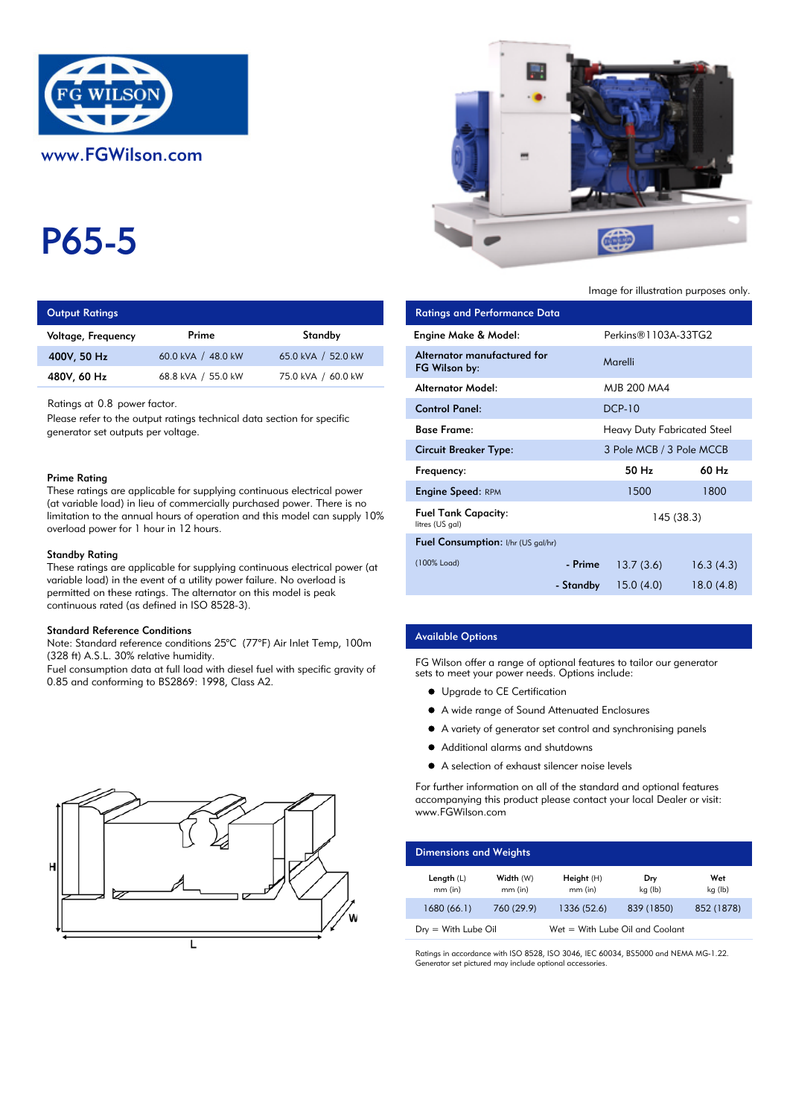

# P65-5

| <b>Output Ratings</b> |  |
|-----------------------|--|
|-----------------------|--|

| Voltage, Frequency | Prime              | Standby            | Engine Make & Model:  |
|--------------------|--------------------|--------------------|-----------------------|
| 400V, 50 Hz        | 60.0 kVA / 48.0 kW | 65.0 kVA / 52.0 kW | Alternator manufactur |
| 480V, 60 Hz        | 68.8 kVA / 55.0 kW | 75.0 kVA / 60.0 kW | FG Wilson by:         |
|                    |                    |                    |                       |

### Prime Rating

#### Standby Rating

These ratings are applicable for supplying continuous electrical power (at variable load) in the event of a utility power failure. No overload is permitted on these ratings. The alternator on this model is peak continuous rated (as defined in ISO 8528-3).

#### Standard Reference Conditions

Note: Standard reference conditions 25°C (77°F) Air Inlet Temp, 100m (328 ft) A.S.L. 30% relative humidity.

Fuel consumption data at full load with diesel fuel with specific gravity of 0.85 and conforming to BS2869: 1998, Class A2.





Image for illustration purposes only.

| <b>Output Ratings</b>                                                                                                                                                                                                                      |                                                                        |                    | <b>Ratings and Performance Data</b>           |           |                                    |            |
|--------------------------------------------------------------------------------------------------------------------------------------------------------------------------------------------------------------------------------------------|------------------------------------------------------------------------|--------------------|-----------------------------------------------|-----------|------------------------------------|------------|
| Voltage, Frequency                                                                                                                                                                                                                         | Prime                                                                  | Standby            | Engine Make & Model:                          |           | Perkins®1103A-33TG2                |            |
| 400V, 50 Hz                                                                                                                                                                                                                                | 60.0 kVA / 48.0 kW                                                     | 65.0 kVA / 52.0 kW | Alternator manufactured for<br>FG Wilson by:  |           | Marelli                            |            |
| 480V, 60 Hz                                                                                                                                                                                                                                | 68.8 kVA / 55.0 kW                                                     | 75.0 kVA / 60.0 kW | <b>Alternator Model:</b>                      |           | MJB 200 MA4                        |            |
| Ratings at 0.8 power factor.<br>Please refer to the output ratings technical data section for specific<br>generator set outputs per voltage.                                                                                               |                                                                        |                    | <b>Control Panel:</b>                         |           | <b>DCP-10</b>                      |            |
|                                                                                                                                                                                                                                            |                                                                        |                    | <b>Base Frame:</b>                            |           | <b>Heavy Duty Fabricated Steel</b> |            |
|                                                                                                                                                                                                                                            |                                                                        |                    | <b>Circuit Breaker Type:</b>                  |           | 3 Pole MCB / 3 Pole MCCB           |            |
| Prime Rating                                                                                                                                                                                                                               |                                                                        |                    | Frequency:                                    |           | 50 Hz                              | 60 Hz      |
|                                                                                                                                                                                                                                            | These ratings are applicable for supplying continuous electrical power |                    | <b>Engine Speed: RPM</b>                      |           | 1500                               | 1800       |
| (at variable load) in lieu of commercially purchased power. There is no<br>limitation to the annual hours of operation and this model can supply 10%<br>overload power for 1 hour in 12 hours.                                             |                                                                        |                    | <b>Fuel Tank Capacity:</b><br>litres (US gal) |           |                                    | 145 (38.3) |
|                                                                                                                                                                                                                                            |                                                                        |                    | Fuel Consumption: I/hr (US gal/hr)            |           |                                    |            |
| Standby Rating<br>These ratings are applicable for supplying continuous electrical power (at<br>variable load) in the event of a utility power failure. No overload is<br>permitted on these ratings. The alternator on this model is peak |                                                                        |                    | (100% Load)                                   | - Prime   | 13.7(3.6)                          | 16.3(4.3)  |
|                                                                                                                                                                                                                                            |                                                                        |                    |                                               | - Standby | 15.0(4.0)                          | 18.0(4.8)  |

# Available Options

FG Wilson offer a range of optional features to tailor our generator sets to meet your power needs. Options include:

- **•** Upgrade to CE Certification
- A wide range of Sound Attenuated Enclosures
- A variety of generator set control and synchronising panels
- $\bullet$ Additional alarms and shutdowns
- A selection of exhaust silencer noise levels

For further information on all of the standard and optional features accompanying this product please contact your local Dealer or visit: www.FGWilson.com

| <b>Dimensions and Weights</b>                                      |                        |                           |                |                |
|--------------------------------------------------------------------|------------------------|---------------------------|----------------|----------------|
| Length $(L)$<br>$mm$ (in)                                          | Width (W)<br>$mm$ (in) | Height $(H)$<br>$mm$ (in) | Dry<br>kg (lb) | Wet<br>kg (lb) |
| 1680 (66.1)                                                        | 760 (29.9)             | 1336 (52.6)               | 839 (1850)     | 852 (1878)     |
| Wet = With Lube Oil and Coolant<br>$D_{\text{IV}} =$ With Lube Oil |                        |                           |                |                |

Ratings in accordance with ISO 8528, ISO 3046, IEC 60034, BS5000 and NEMA MG-1.22. Generator set pictured may include optional accessories.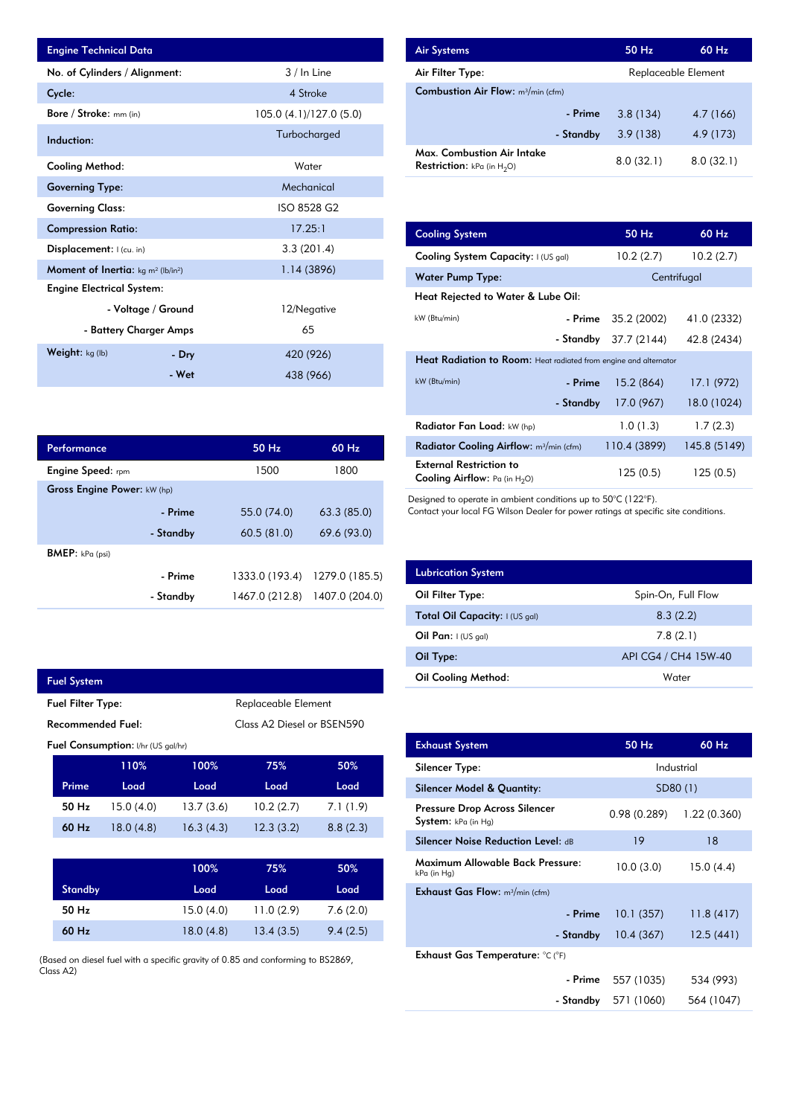| <b>Engine Technical Data</b>                       |                        |                         | <b>Air Systems</b>               |
|----------------------------------------------------|------------------------|-------------------------|----------------------------------|
| No. of Cylinders / Alignment:                      |                        | $3/$ In Line            | Air Filter Ty                    |
| Cycle:                                             |                        | 4 Stroke                | <b>Combustion</b>                |
| Bore / Stroke: mm (in)                             |                        | 105.0 (4.1)/127.0 (5.0) |                                  |
| Induction:                                         |                        | Turbocharged            |                                  |
| <b>Cooling Method:</b>                             |                        | Water                   | Max. Comb<br><b>Restriction:</b> |
| <b>Governing Type:</b>                             |                        | Mechanical              |                                  |
| <b>Governing Class:</b>                            |                        | ISO 8528 G2             |                                  |
| <b>Compression Ratio:</b>                          |                        | 17.25:1                 | <b>Cooling Sys</b>               |
| <b>Displacement:</b> $ $ (cu. in)                  |                        | 3.3(201.4)              | <b>Cooling Sys</b>               |
| <b>Moment of Inertia:</b> $kg \, m^2 \, (lb/in^2)$ |                        | 1.14 (3896)             | Water Pum                        |
| <b>Engine Electrical System:</b>                   |                        |                         | <b>Heat Reject</b>               |
|                                                    | - Voltage / Ground     | 12/Negative             | kW (Btu/min)                     |
|                                                    | - Battery Charger Amps | 65                      |                                  |
| Weight: kg (lb)                                    | - Dry                  | 420 (926)               | <b>Heat Radia</b>                |
|                                                    | - Wet                  | 438 (966)               | $kW$ (Btu/min)                   |

| Performance                        |           | $50$ Hz        | $60$ Hz        |
|------------------------------------|-----------|----------------|----------------|
| <b>Engine Speed:</b> rpm           |           | 1500           | 1800           |
| <b>Gross Engine Power: kW (hp)</b> |           |                |                |
|                                    | - Prime   | 55.0 (74.0)    | 63.3(85.0)     |
|                                    | - Standby | 60.5(81.0)     | 69.6 (93.0)    |
| <b>BMEP</b> : $kPa$ (psi)          |           |                |                |
|                                    | - Prime   | 1333.0 (193.4) | 1279.0 (185.5) |
|                                    | - Standby | 1467.0 (212.8) | 1407.0 (204.0) |

| <b>Fuel System</b>                              |                                                        |           |           |           |          |
|-------------------------------------------------|--------------------------------------------------------|-----------|-----------|-----------|----------|
| Replaceable Element<br><b>Fuel Filter Type:</b> |                                                        |           |           |           |          |
|                                                 | <b>Recommended Fuel:</b><br>Class A2 Diesel or BSEN590 |           |           |           |          |
| <b>Fuel Consumption:</b> I/hr (US gal/hr)       |                                                        |           |           |           |          |
|                                                 |                                                        | 110%      | 100%      | 75%       | 50%      |
|                                                 | Prime                                                  | Load      | Load      | Load      | Load     |
|                                                 | 50 Hz                                                  | 15.0(4.0) | 13.7(3.6) | 10.2(2.7) | 7.1(1.9) |
|                                                 | 60 Hz                                                  | 18.0(4.8) | 16.3(4.3) | 12.3(3.2) | 8.8(2.3) |

I

|                | 100%      | 75%       | 50%      |
|----------------|-----------|-----------|----------|
| <b>Standby</b> | Load      | Load      | Load     |
| 50 Hz          | 15.0(4.0) | 11.0(2.9) | 7.6(2.0) |
| 60 Hz          | 18.0(4.8) | 13.4(3.5) | 9.4(2.5) |

(Based on diesel fuel with a specific gravity of 0.85 and conforming to BS2869, Class A2)

| <b>Air Systems</b>                                                 | 50 Hz     | $60$ Hz             |  |
|--------------------------------------------------------------------|-----------|---------------------|--|
| Air Filter Type:                                                   |           | Replaceable Element |  |
| <b>Combustion Air Flow:</b> $m^3/m$ in (cfm)                       |           |                     |  |
| - Prime                                                            | 3.8(134)  | 4.7 (166)           |  |
| - Standby                                                          | 3.9(138)  | 4.9 (173)           |  |
| Max. Combustion Air Intake<br><b>Restriction:</b> kPa (in $H_2O$ ) | 8.0(32.1) | 8.0(32.1)           |  |

| 17.25:1        | <b>Cooling System</b>                                                     | 50 Hz                                                            | 60 Hz        |  |  |
|----------------|---------------------------------------------------------------------------|------------------------------------------------------------------|--------------|--|--|
| 3.3(201.4)     | Cooling System Capacity: I (US gal)                                       | 10.2(2.7)                                                        | 10.2(2.7)    |  |  |
| 1.14 (3896)    | <b>Water Pump Type:</b>                                                   |                                                                  | Centrifugal  |  |  |
|                | Heat Rejected to Water & Lube Oil:                                        |                                                                  |              |  |  |
| 12/Negative    | kW (Btu/min)<br>- Prime                                                   | 35.2 (2002)                                                      | 41.0 (2332)  |  |  |
| 65             | - Standby                                                                 | 37.7 (2144)                                                      | 42.8 (2434)  |  |  |
| 420 (926)      |                                                                           | Heat Radiation to Room: Heat radiated from engine and alternator |              |  |  |
| 438 (966)      | kW (Btu/min)<br>- Prime                                                   | 15.2 (864)                                                       | 17.1 (972)   |  |  |
|                | - Standby                                                                 | 17.0 (967)                                                       | 18.0 (1024)  |  |  |
|                | Radiator Fan Load: kW (hp)                                                | 1.0(1.3)                                                         | 1.7(2.3)     |  |  |
| 60 Hz<br>50 Hz | Radiator Cooling Airflow: m <sup>3</sup> /min (cfm)                       | 110.4 (3899)                                                     | 145.8 (5149) |  |  |
| 1500<br>1800   | <b>External Restriction to</b><br><b>Cooling Airflow:</b> Pa (in $H_2O$ ) | 125(0.5)                                                         | 125(0.5)     |  |  |

Designed to operate in ambient conditions up to 50°C (122°F).

Contact your local FG Wilson Dealer for power ratings at specific site conditions.

| <b>Lubrication System</b>      |                      |
|--------------------------------|----------------------|
| Oil Filter Type:               | Spin-On, Full Flow   |
| Total Oil Capacity: I (US gal) | 8.3(2.2)             |
| Oil Pan: $I(US gal)$           | 7.8(2.1)             |
| Oil Type:                      | API CG4 / CH4 15W-40 |
| <b>Oil Cooling Method:</b>     | Water                |

| <b>Exhaust System</b>                                | 50 Hz       | 60 Hz        |
|------------------------------------------------------|-------------|--------------|
| Silencer Type:                                       |             | Industrial   |
| Silencer Model & Quantity:                           |             | SD80 (1)     |
| Pressure Drop Across Silencer<br>System: kPa (in Hg) | 0.98(0.289) | 1.22 (0.360) |
| <b>Silencer Noise Reduction Level: dB</b>            | 19          | 18           |
| Maximum Allowable Back Pressure:<br>kPa (in Hg)      | 10.0(3.0)   | 15.0(4.4)    |
| <b>Exhaust Gas Flow:</b> $m^3/m$ in (cfm)            |             |              |
| - Prime                                              | 10.1(357)   | 11.8(417)    |
| - Standby                                            | 10.4(367)   | 12.5(441)    |
| Exhaust Gas Temperature: °C (°F)                     |             |              |
| - Prime                                              | 557 (1035)  | 534 (993)    |
| - Standby                                            | 571 (1060)  | 564 (1047)   |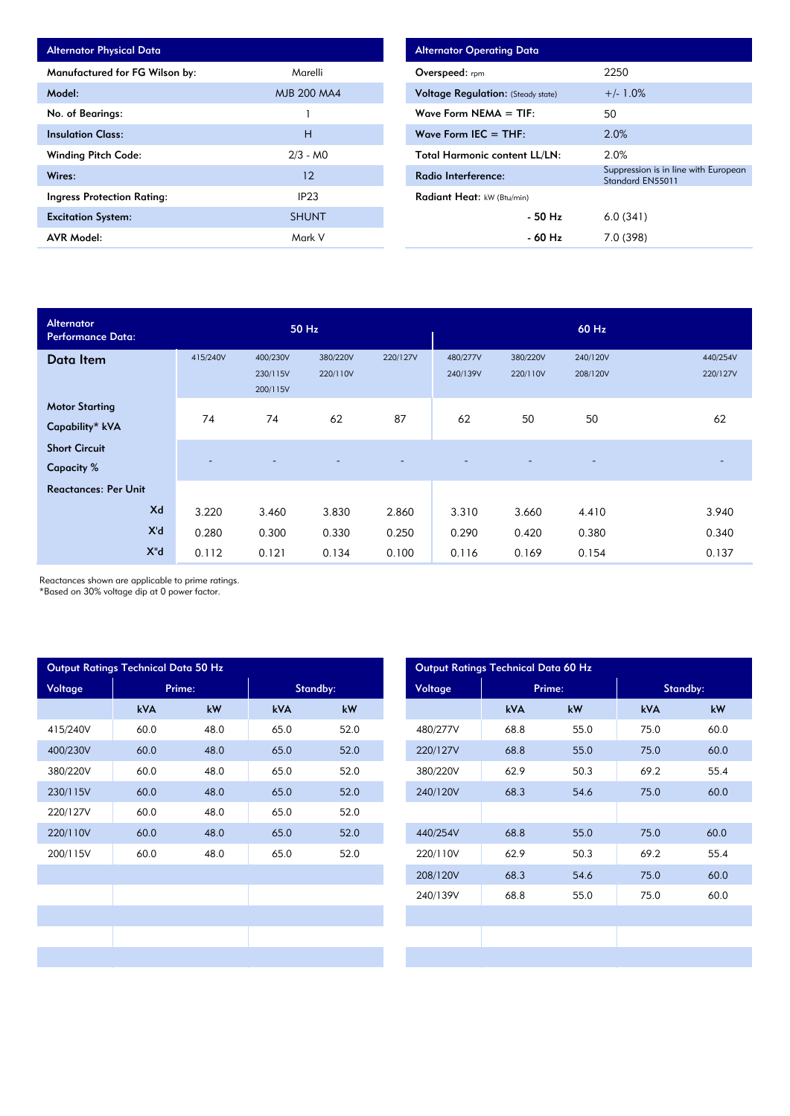| <b>Alternator Physical Data</b>   |                    |
|-----------------------------------|--------------------|
| Manufactured for FG Wilson by:    | Marelli            |
| Model:                            | <b>MJB 200 MA4</b> |
| No. of Bearings:                  |                    |
| <b>Insulation Class:</b>          | н                  |
| <b>Winding Pitch Code:</b>        | $2/3 - M0$         |
| Wires:                            | 12                 |
| <b>Ingress Protection Rating:</b> | IP <sub>23</sub>   |
| <b>Excitation System:</b>         | <b>SHUNT</b>       |
| <b>AVR Model:</b>                 | Mark V             |

| <b>Alternator Operating Data</b>          |                                                          |
|-------------------------------------------|----------------------------------------------------------|
| Overspeed: $r_{\text{pm}}$                | 2250                                                     |
| <b>Voltage Regulation:</b> (Steady state) | $+/- 1.0%$                                               |
| Wave Form NEMA $=$ TIF:                   | 50                                                       |
| Wave Form IEC $=$ THF:                    | 2.0%                                                     |
| <b>Total Harmonic content LL/LN:</b>      | 2.0%                                                     |
| Radio Interference:                       | Suppression is in line with European<br>Standard EN55011 |
| <b>Radiant Heat:</b> kW (Btu/min)         |                                                          |
| - 50 Hz                                   | 6.0(341)                                                 |
| - 60 Hz                                   | 7.0 (398)                                                |

| <b>Alternator</b><br><b>Performance Data:</b> |          |                                  | 50 Hz                |          |                      |                      | 60 Hz                    |                      |
|-----------------------------------------------|----------|----------------------------------|----------------------|----------|----------------------|----------------------|--------------------------|----------------------|
| Data Item                                     | 415/240V | 400/230V<br>230/115V<br>200/115V | 380/220V<br>220/110V | 220/127V | 480/277V<br>240/139V | 380/220V<br>220/110V | 240/120V<br>208/120V     | 440/254V<br>220/127V |
| <b>Motor Starting</b><br>Capability* kVA      | 74       | 74                               | 62                   | 87       | 62                   | 50                   | 50                       | 62                   |
| <b>Short Circuit</b><br><b>Capacity</b> %     |          |                                  |                      |          |                      |                      | $\overline{\phantom{a}}$ |                      |
| <b>Reactances: Per Unit</b>                   |          |                                  |                      |          |                      |                      |                          |                      |
| Xd                                            | 3.220    | 3.460                            | 3.830                | 2.860    | 3.310                | 3.660                | 4.410                    | 3.940                |
| X'd                                           | 0.280    | 0.300                            | 0.330                | 0.250    | 0.290                | 0.420                | 0.380                    | 0.340                |
| $X^{\mathrm{H}}$ d                            | 0.112    | 0.121                            | 0.134                | 0.100    | 0.116                | 0.169                | 0.154                    | 0.137                |

Reactances shown are applicable to prime ratings.

\*Based on 30% voltage dip at 0 power factor.

|          | Output Ratings Technical Data 50 Hz |        |            |          |
|----------|-------------------------------------|--------|------------|----------|
| Voltage  |                                     | Prime: |            | Standby: |
|          | <b>kVA</b>                          | kW     | <b>kVA</b> | kW       |
| 415/240V | 60.0                                | 48.0   | 65.0       | 52.0     |
| 400/230V | 60.0                                | 48.0   | 65.0       | 52.0     |
| 380/220V | 60.0                                | 48.0   | 65.0       | 52.0     |
| 230/115V | 60.0                                | 48.0   | 65.0       | 52.0     |
| 220/127V | 60.0                                | 48.0   | 65.0       | 52.0     |
| 220/110V | 60.0                                | 48.0   | 65.0       | 52.0     |
| 200/115V | 60.0                                | 48.0   | 65.0       | 52.0     |
|          |                                     |        |            |          |
|          |                                     |        |            |          |
|          |                                     |        |            |          |
|          |                                     |        |            |          |
|          |                                     |        |            |          |